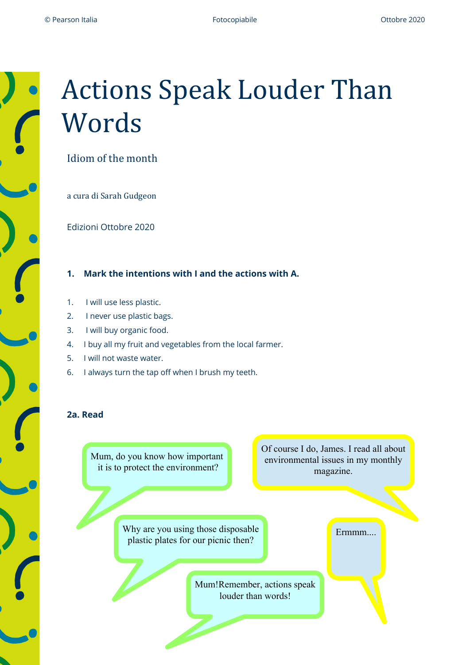## **Actions Speak Louder Than** Words

Idiom of the month

a cura di Sarah Gudgeon

Edizioni Ottobre 2020

**1. Mark the intentions with I and the actions with A.**

- 1. I will use less plastic.
- 2. I never use plastic bags.
- 3. I will buy organic food.
- 4. I buy all my fruit and vegetables from the local farmer.
- 5. I will not waste water.
- 6. I always turn the tap off when I brush my teeth.

## **2a. Read**

Mum, do you know how important it is to protect the environment?

Of course I do, James. I read all about environmental issues in my monthly magazine.

Ermmm....

Why are you using those disposable plastic plates for our picnic then?

> Mum!Remember, actions speak louder than words!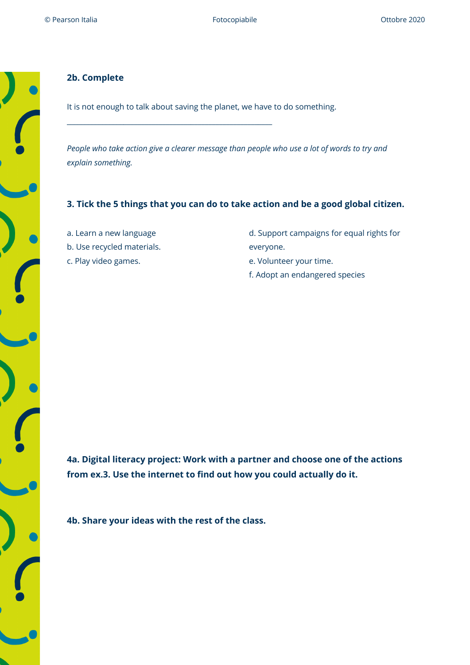

It is not enough to talk about saving the planet, we have to do something.

\_\_\_\_\_\_\_\_\_\_\_\_\_\_\_\_\_\_\_\_\_\_\_\_\_\_\_\_\_\_\_\_\_\_\_\_\_\_\_\_\_\_\_\_\_\_\_\_\_\_\_\_\_\_\_\_\_\_

*People who take action give a clearer message than people who use a lot of words to try and explain something.*

## **3. Tick the 5 things that you can do to take action and be a good global citizen.**

a. Learn a new language b. Use recycled materials. c. Play video games.

- d. Support campaigns for equal rights for everyone.
- 
- e. Volunteer your time.
- f. Adopt an endangered species

**4a. Digital literacy project: Work with a partner and choose one of the actions from ex.3. Use the internet to find out how you could actually do it.**

**4b. Share your ideas with the rest of the class.**